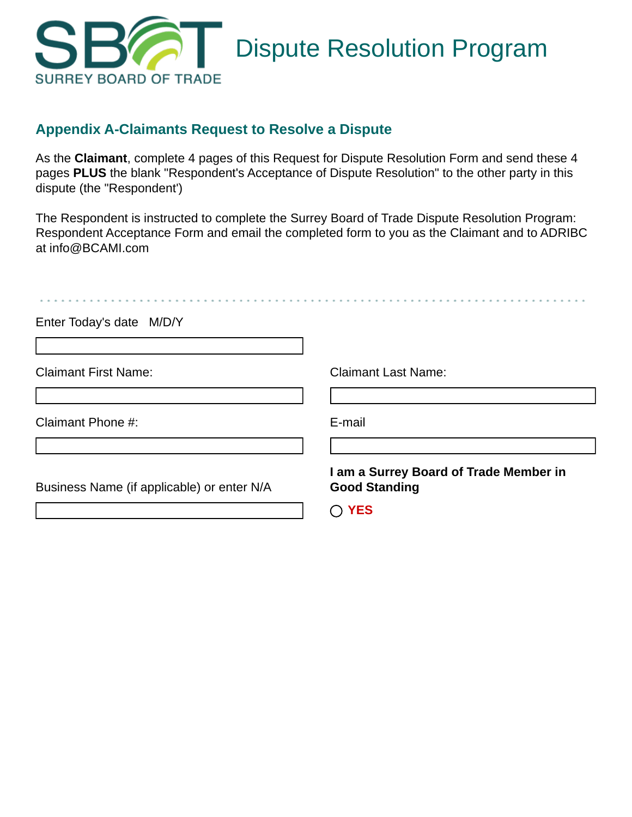

# **Appendix A-Claimants Request to Resolve a Dispute**

As the **Claimant**, complete 4 pages of this Request for Dispute Resolution Form and send these 4 pages **PLUS** the blank "Respondent's Acceptance of Dispute Resolution" to the other party in this dispute (the "Respondent')

The Respondent is instructed to complete the Surrey Board of Trade Dispute Resolution Program: Respondent Acceptance Form and email the completed form to you as the Claimant and to ADRIBC at info@BCAMI.com

| Enter Today's date M/D/Y                   |                                                                              |
|--------------------------------------------|------------------------------------------------------------------------------|
| <b>Claimant First Name:</b>                | <b>Claimant Last Name:</b>                                                   |
| Claimant Phone #:                          | E-mail                                                                       |
| Business Name (if applicable) or enter N/A | I am a Surrey Board of Trade Member in<br><b>Good Standing</b><br><b>YES</b> |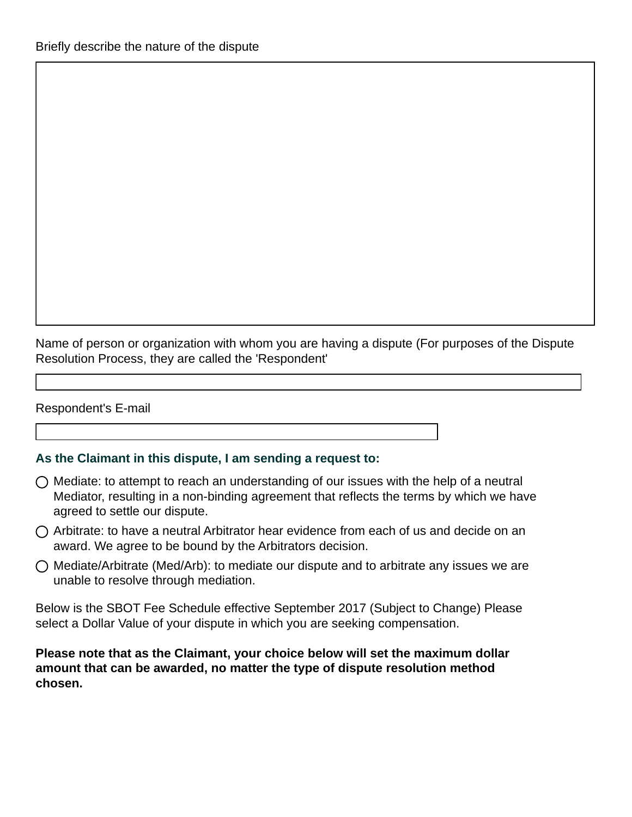Name of person or organization with whom you are having a dispute (For purposes of the Dispute Resolution Process, they are called the 'Respondent'

Respondent's E-mail

### **As the Claimant in this dispute, I am sending a request to:**

- $\bigcirc$  Mediate: to attempt to reach an understanding of our issues with the help of a neutral Mediator, resulting in a non-binding agreement that reflects the terms by which we have agreed to settle our dispute.
- $\bigcap$  Arbitrate: to have a neutral Arbitrator hear evidence from each of us and decide on an award. We agree to be bound by the Arbitrators decision.
- $\bigcirc$  Mediate/Arbitrate (Med/Arb): to mediate our dispute and to arbitrate any issues we are unable to resolve through mediation.

Below is the SBOT Fee Schedule effective September 2017 (Subject to Change) Please select a Dollar Value of your dispute in which you are seeking compensation.

**Please note that as the Claimant, your choice below will set the maximum dollar amount that can be awarded, no matter the type of dispute resolution method chosen.**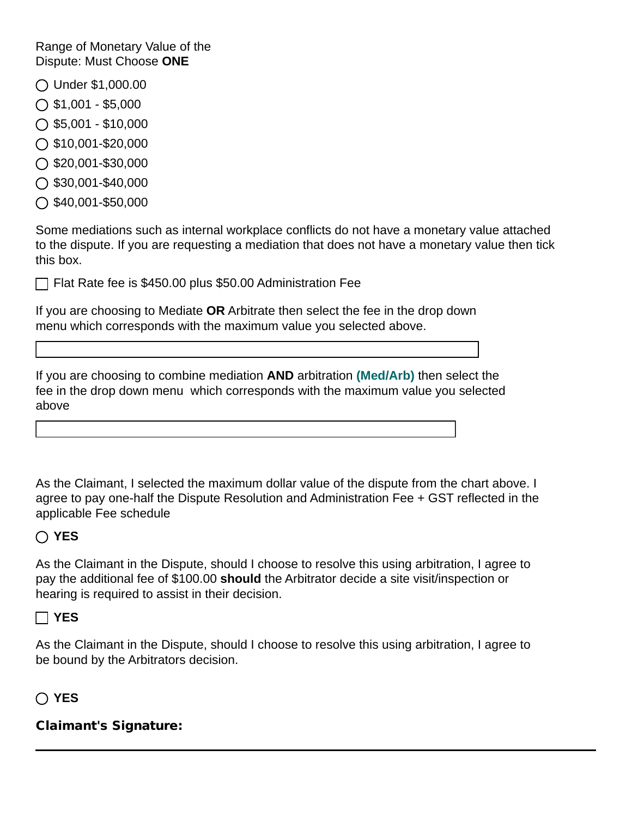Range of Monetary Value of the Dispute: Must Choose **ONE**

- Under \$1,000.00
- $\bigcap$  \$1,001 \$5,000
- $\bigcirc$  \$5,001 \$10,000
- $\bigcap$  \$10,001-\$20,000
- \$20,001-\$30,000
- $\bigcirc$  \$30,001-\$40,000
- $\bigcirc$  \$40,001-\$50,000

Some mediations such as internal workplace conflicts do not have a monetary value attached to the dispute. If you are requesting a mediation that does not have a monetary value then tick this box.

 $\vert \textbf{v} \vert$ 

 $\mathbf{v}$ 

Flat Rate fee is \$450.00 plus \$50.00 Administration Fee

If you are choosing to Mediate **OR** Arbitrate then select the fee in the drop down menu which corresponds with the maximum value you selected above.

If you are choosing to combine mediation **AND** arbitration **(Med/Arb)** then select the fee in the drop down menu which corresponds with the maximum value you selected above

As the Claimant, I selected the maximum dollar value of the dispute from the chart above. I agree to pay one-half the Dispute Resolution and Administration Fee + GST reflected in the applicable Fee schedule

## **YES**

As the Claimant in the Dispute, should I choose to resolve this using arbitration, I agree to pay the additional fee of \$100.00 **should** the Arbitrator decide a site visit/inspection or hearing is required to assist in their decision.

### **YES**

As the Claimant in the Dispute, should I choose to resolve this using arbitration, I agree to be bound by the Arbitrators decision.

## **YES**

## Claimant's Signature: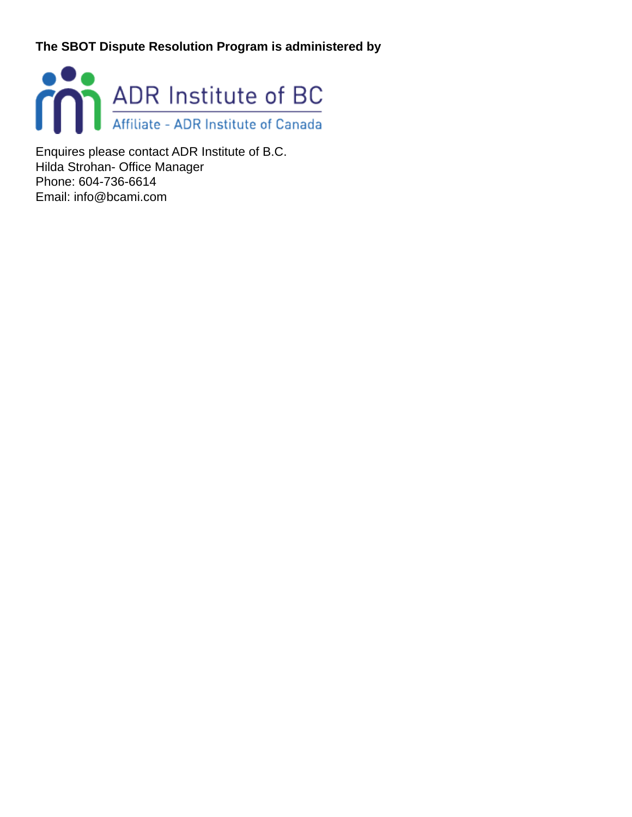**The SBOT Dispute Resolution Program is administered by** 



Enquires please contact ADR Institute of B.C. Hilda Strohan- Office Manager Phone: 604-736-6614 Email: info@bcami.com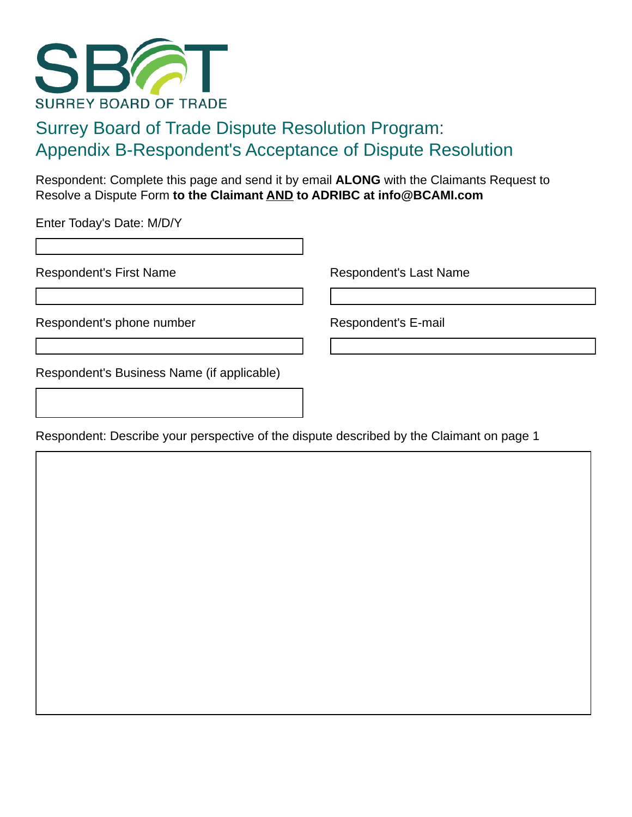

# Surrey Board of Trade Dispute Resolution Program: Appendix B-Respondent's Acceptance of Dispute Resolution

Respondent: Complete this page and send it by email **ALONG** with the Claimants Request to Resolve a Dispute Form **to the Claimant AND to ADRIBC at info@BCAMI.com** 

Enter Today's Date: M/D/Y

Respondent's First Name Respondent's Last Name

Respondent's phone number Respondent's E-mail

Respondent's Business Name (if applicable)

Respondent: Describe your perspective of the dispute described by the Claimant on page 1